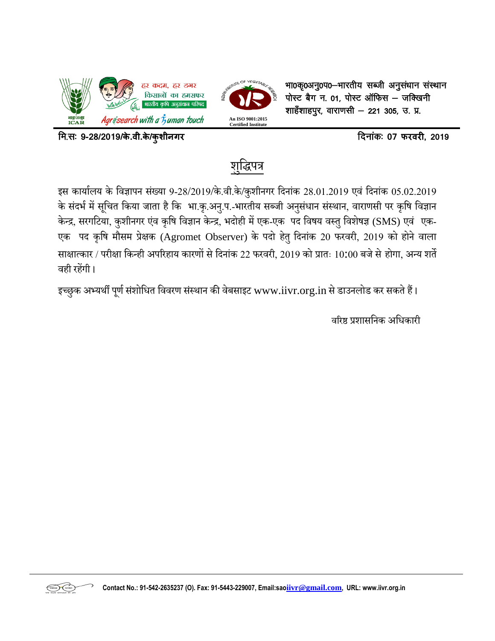



भा0कृ0अनु0प0-भारतीय सब्जी अनुसंधान संस्थान  $\vec{u}$ सेग न. 01, पोस्ट ऑफिस – जक्खिनी शाहँशाहपुर, वाराणसी — 221 305, उ. प्र.

fe-l% **9-28/2019/के.वी.के/कुशीनगर** fnukad% **<sup>07</sup> फरवरी, 2019** 

# <u>शुद्धिपत्र</u>

इस कार्यालय के विज्ञापन संख्या 9-28/2019/के.वी.के/कुशीनगर दिनांक 28.01.2019 एवं दिनांक 05.02.2019 के संदर्भ में सूचित किया जाता है कि भा.कृ.अनु.प.-भारतीय सब्जी अनुसंधान संस्थान, वाराणसी पर कृषि विज्ञान केन्द्र, सरगटिया, कुशीनगर एंव कृषि विज्ञान केन्द्र, भदोही में एक-एक पद विषय वस्तु विशेषज्ञ (SMS) एवं एक-एक पद कृषि मौसम प्रेक्षक (Agromet Observer) के पदो हेतु दिनांक 20 फरवरी, 2019 को होने वाला साक्षात्कार / परीक्षा किन्ही अपरिहाय कारणों से दिनांक 22 फरवरी, 2019 को प्रातः 10:00 बजे से होगा, अन्य शर्ते िही रहेंगी ।

इच्छुक अभ्यर्थी पूर्ण संशोधित विवरण संस्थान की वेबसाइट www.iivr.org.in से डाउनलोड कर सकते हैं।

वरिष्ठ प्रशासनिक अधिकारी



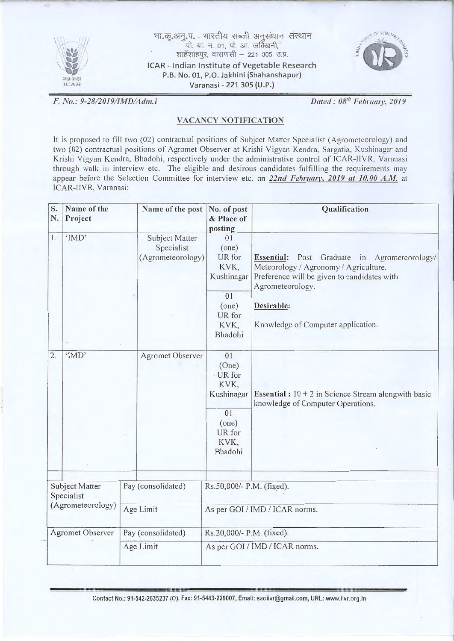

भा.कृ.अनु.प. - भारतीय सब्जी अनुसंधान संस्थान<br>पो. बा. न. ०१, पो. आ. जक्खिनी, शाहेंशाहपुर, वाराणसी - 221 305 उ.प्र. ICAR - Indian Institute of Vegetable Research P.B. No. 01, P.O. Jakhini (Shahanshapur}



*F. No.: 9-28/2019/1MD/A dm.J Dated: 08'" February, 2019* 

#### VACANCY NOTIFICATION

It is proposed to fill two (02) contractual positions of Subject Matter Specialist (Agrometeorology) and two (02) contractual positions of Agromet Observer at Krishi Vigyan Kendra, Sargatia. Kushinagar and Krishi Vigyan Kendra, Bhadohi, respectively under the administrative control of ICAR-IIVR. Varanasi through walk in interview etc. The eligible and desirous candidates fulfilling the requirements may appear before the Selection Committee for interview etc. on 22nd February, 2019 at 10.00 A.M. at ICAR-llVR, Varanasi:

| S.<br>N.                | Name of the<br>Project       | Name of the post                                  | No. of post<br>& Place of<br>posting        | Qualification                                                                                                                                            |  |  |  |
|-------------------------|------------------------------|---------------------------------------------------|---------------------------------------------|----------------------------------------------------------------------------------------------------------------------------------------------------------|--|--|--|
| 1.                      | 'IMD'                        | Subject Matter<br>Specialist<br>(Agrometeorology) | 01<br>(one)<br>UR for<br>KVK,<br>Kushinagar | Essential: Post Graduate in Agrometeorology/<br>Meteorology / Agronomy / Agriculture.<br>Preference will be given to candidates with<br>Agrometeorology. |  |  |  |
|                         |                              |                                                   | 01<br>(one)<br>UR for<br>KVK,<br>Bhadohi    | Desirable:<br>Knowledge of Computer application.                                                                                                         |  |  |  |
| $\overline{2}$ .        | 'IMD'                        | <b>Agromet Observer</b>                           | 01<br>(One)<br>UR for<br>KVK,<br>Kushinagar | <b>Essential</b> : $10 + 2$ in Science Stream alongwith basic<br>knowledge of Computer Operations.                                                       |  |  |  |
|                         |                              |                                                   | 01<br>(one)<br>UR for<br>KVK,<br>Bhadohi    |                                                                                                                                                          |  |  |  |
|                         | Subject Matter<br>Specialist | Pay (consolidated)                                | Rs.50,000/- P.M. (fixed).                   |                                                                                                                                                          |  |  |  |
| (Agrometeorology)       |                              | Age Limit                                         | As per GOI / IMD / ICAR norms.              |                                                                                                                                                          |  |  |  |
| <b>Agromet Observer</b> |                              | Pay (consolidated)                                | Rs.20,000/- P.M. (fixed).                   |                                                                                                                                                          |  |  |  |
|                         |                              | Age Limit                                         | As per GOI / IMD / ICAR norms.              |                                                                                                                                                          |  |  |  |

Contact No.: 91-542-2635237 (0). Fax: 91-5443-229007, Email: saoiivr@gmail.com, URL: www.i"vr.org.in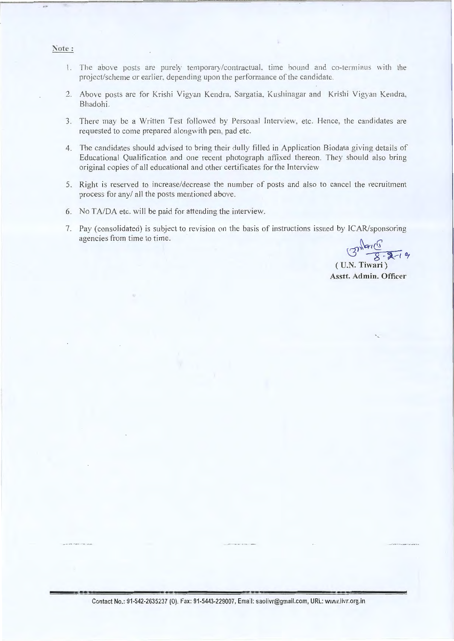#### Note:

- 1. The above posts are purely temporary/contractual, time bound and co-terminus with the project/scheme or earlier. depending upon the performance of the candidate.
- 2. Above posts are for Krishi Vigyan Kendra, Sargatia, Kushinagar and Krishi Vigyan Kendra, Bhadohi.
- 3. There may be a Written Test followed by Personal Interview, etc. Hence, the candidates are requested to come prepared alongwith pen. pad etc.
- 4. The candidates should advised to bring their dully filled in Application Biodata giving details of Educational Qualification and one recent photograph affixed thereon. They should also bring original copies of all educational and other certificates for the Interview
- 5. Right is reserved to increase/decrease the number of posts and also to cancel the recruitment process for any/ all the posts mentioned above.
- 6. No TA/DA etc. will be paid for attending the interview.
- 7. Pay (consolidated) is subject to revision on the basis of instructions issued by ICAR/sponsoring agencies from time to time.

 $3^{n \times 10^{9}}$ ( U.N. Tiwari)

Asstt. Admin. Officer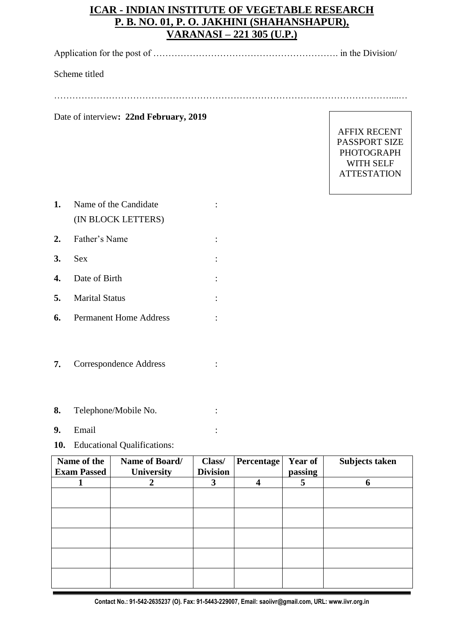## **ICAR - INDIAN INSTITUTE OF VEGETABLE RESEARCH P. B. NO. 01, P. O. JAKHINI (SHAHANSHAPUR), VARANASI – 221 305 (U.P.)**

Application for the post of ……………………………………………………. in the Division/

Scheme titled

…………………………………………………………………………………………………...…

Date of interview**: 22nd February, 2019** 

AFFIX RECENT PASSPORT SIZE PHOTOGRAPH WITH SELF ATTESTATION

| 1. | Name of the Candidate            |  |  |  |
|----|----------------------------------|--|--|--|
|    | (IN BLOCK LETTERS)               |  |  |  |
|    | 2. Father's Name                 |  |  |  |
| 3. | <b>Sex</b>                       |  |  |  |
| 4. | Date of Birth                    |  |  |  |
| 5. | <b>Marital Status</b>            |  |  |  |
|    | <b>6.</b> Permanent Home Address |  |  |  |

- **7.** Correspondence Address :
- **8.** Telephone/Mobile No. :
- **9.** Email :
- **10.** Educational Qualifications:

| Name of the<br><b>Exam Passed</b> | Name of Board/<br><b>University</b> | Class/<br><b>Division</b> | Percentage | <b>Year of</b><br>passing | Subjects taken |
|-----------------------------------|-------------------------------------|---------------------------|------------|---------------------------|----------------|
|                                   |                                     | 3                         | 4          | 5                         | 6              |
|                                   |                                     |                           |            |                           |                |
|                                   |                                     |                           |            |                           |                |
|                                   |                                     |                           |            |                           |                |
|                                   |                                     |                           |            |                           |                |
|                                   |                                     |                           |            |                           |                |